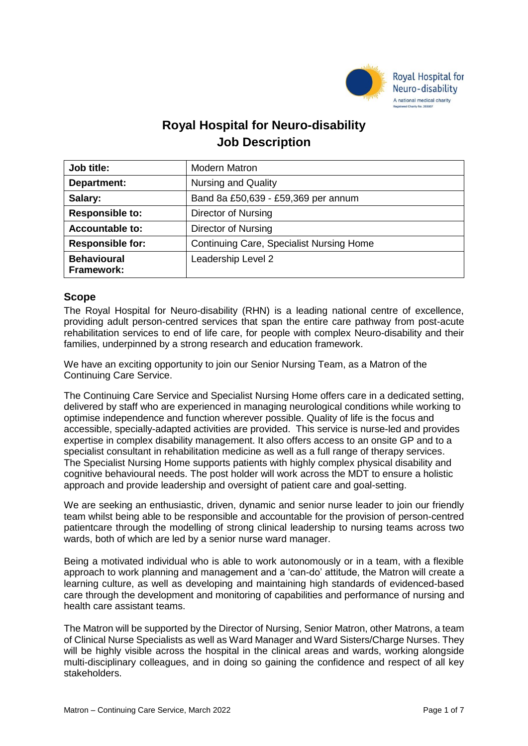

# **Royal Hospital for Neuro-disability Job Description**

| Job title:                       | <b>Modern Matron</b>                            |
|----------------------------------|-------------------------------------------------|
| Department:                      | <b>Nursing and Quality</b>                      |
| Salary:                          | Band 8a £50,639 - £59,369 per annum             |
| <b>Responsible to:</b>           | Director of Nursing                             |
| <b>Accountable to:</b>           | Director of Nursing                             |
| <b>Responsible for:</b>          | <b>Continuing Care, Specialist Nursing Home</b> |
| <b>Behavioural</b><br>Framework: | Leadership Level 2                              |

# **Scope**

The Royal Hospital for Neuro-disability (RHN) is a leading national centre of excellence, providing adult person-centred services that span the entire care pathway from post-acute rehabilitation services to end of life care, for people with complex Neuro-disability and their families, underpinned by a strong research and education framework.

We have an exciting opportunity to join our Senior Nursing Team, as a Matron of the Continuing Care Service.

The Continuing Care Service and Specialist Nursing Home offers care in a dedicated setting, delivered by staff who are experienced in managing neurological conditions while working to optimise independence and function wherever possible. Quality of life is the focus and accessible, specially-adapted activities are provided. This service is nurse-led and provides expertise in complex disability management. It also offers access to an onsite GP and to a specialist consultant in rehabilitation medicine as well as a full range of therapy services. The Specialist Nursing Home supports patients with highly complex physical disability and cognitive behavioural needs. The post holder will work across the MDT to ensure a holistic approach and provide leadership and oversight of patient care and goal-setting.

We are seeking an enthusiastic, driven, dynamic and senior nurse leader to join our friendly team whilst being able to be responsible and accountable for the provision of person-centred patientcare through the modelling of strong clinical leadership to nursing teams across two wards, both of which are led by a senior nurse ward manager.

Being a motivated individual who is able to work autonomously or in a team, with a flexible approach to work planning and management and a 'can-do' attitude, the Matron will create a learning culture, as well as developing and maintaining high standards of evidenced-based care through the development and monitoring of capabilities and performance of nursing and health care assistant teams.

The Matron will be supported by the Director of Nursing, Senior Matron, other Matrons, a team of Clinical Nurse Specialists as well as Ward Manager and Ward Sisters/Charge Nurses. They will be highly visible across the hospital in the clinical areas and wards, working alongside multi-disciplinary colleagues, and in doing so gaining the confidence and respect of all key stakeholders.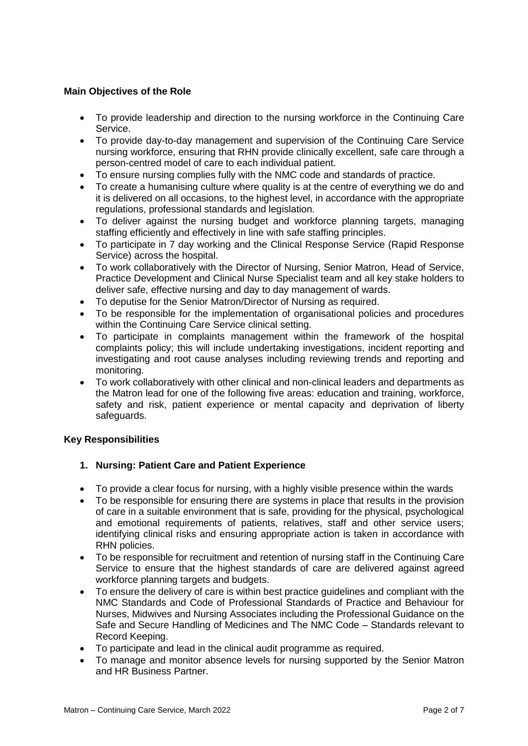# **Main Objectives of the Role**

- To provide leadership and direction to the nursing workforce in the Continuing Care Service.
- To provide day-to-day management and supervision of the Continuing Care Service nursing workforce, ensuring that RHN provide clinically excellent, safe care through a person-centred model of care to each individual patient.
- To ensure nursing complies fully with the NMC code and standards of practice.
- To create a humanising culture where quality is at the centre of everything we do and it is delivered on all occasions, to the highest level, in accordance with the appropriate regulations, professional standards and legislation.
- To deliver against the nursing budget and workforce planning targets, managing staffing efficiently and effectively in line with safe staffing principles.
- To participate in 7 day working and the Clinical Response Service (Rapid Response Service) across the hospital.
- To work collaboratively with the Director of Nursing, Senior Matron, Head of Service, Practice Development and Clinical Nurse Specialist team and all key stake holders to deliver safe, effective nursing and day to day management of wards.
- To deputise for the Senior Matron/Director of Nursing as required.
- To be responsible for the implementation of organisational policies and procedures within the Continuing Care Service clinical setting.
- To participate in complaints management within the framework of the hospital complaints policy; this will include undertaking investigations, incident reporting and investigating and root cause analyses including reviewing trends and reporting and monitoring.
- To work collaboratively with other clinical and non-clinical leaders and departments as the Matron lead for one of the following five areas: education and training, workforce, safety and risk, patient experience or mental capacity and deprivation of liberty safeguards.

## **Key Responsibilities**

## **1. Nursing: Patient Care and Patient Experience**

- To provide a clear focus for nursing, with a highly visible presence within the wards
- To be responsible for ensuring there are systems in place that results in the provision of care in a suitable environment that is safe, providing for the physical, psychological and emotional requirements of patients, relatives, staff and other service users; identifying clinical risks and ensuring appropriate action is taken in accordance with RHN policies.
- To be responsible for recruitment and retention of nursing staff in the Continuing Care Service to ensure that the highest standards of care are delivered against agreed workforce planning targets and budgets.
- To ensure the delivery of care is within best practice guidelines and compliant with the NMC Standards and Code of Professional Standards of Practice and Behaviour for Nurses, Midwives and Nursing Associates including the Professional Guidance on the Safe and Secure Handling of Medicines and The NMC Code – Standards relevant to Record Keeping.
- To participate and lead in the clinical audit programme as required.
- To manage and monitor absence levels for nursing supported by the Senior Matron and HR Business Partner.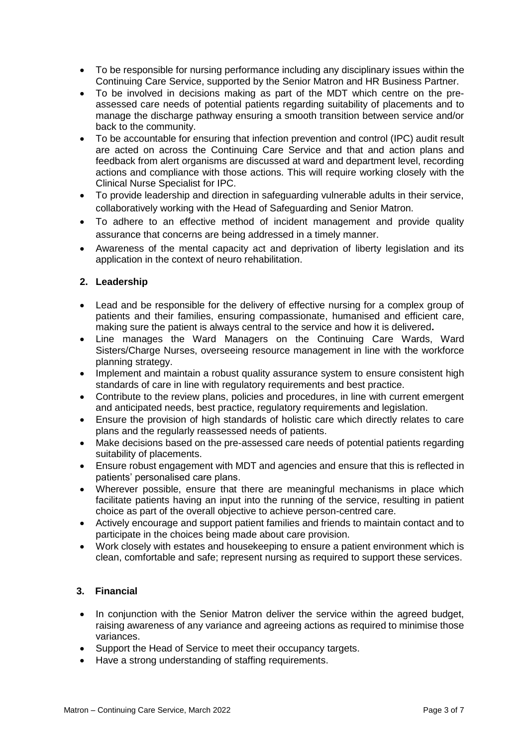- To be responsible for nursing performance including any disciplinary issues within the Continuing Care Service, supported by the Senior Matron and HR Business Partner.
- To be involved in decisions making as part of the MDT which centre on the preassessed care needs of potential patients regarding suitability of placements and to manage the discharge pathway ensuring a smooth transition between service and/or back to the community.
- To be accountable for ensuring that infection prevention and control (IPC) audit result are acted on across the Continuing Care Service and that and action plans and feedback from alert organisms are discussed at ward and department level, recording actions and compliance with those actions. This will require working closely with the Clinical Nurse Specialist for IPC.
- To provide leadership and direction in safeguarding vulnerable adults in their service, collaboratively working with the Head of Safeguarding and Senior Matron.
- To adhere to an effective method of incident management and provide quality assurance that concerns are being addressed in a timely manner.
- Awareness of the mental capacity act and deprivation of liberty legislation and its application in the context of neuro rehabilitation.

# **2. Leadership**

- Lead and be responsible for the delivery of effective nursing for a complex group of patients and their families, ensuring compassionate, humanised and efficient care, making sure the patient is always central to the service and how it is delivered**.**
- Line manages the Ward Managers on the Continuing Care Wards, Ward Sisters/Charge Nurses, overseeing resource management in line with the workforce planning strategy.
- Implement and maintain a robust quality assurance system to ensure consistent high standards of care in line with regulatory requirements and best practice.
- Contribute to the review plans, policies and procedures, in line with current emergent and anticipated needs, best practice, regulatory requirements and legislation.
- Ensure the provision of high standards of holistic care which directly relates to care plans and the regularly reassessed needs of patients.
- Make decisions based on the pre-assessed care needs of potential patients regarding suitability of placements.
- Ensure robust engagement with MDT and agencies and ensure that this is reflected in patients' personalised care plans.
- Wherever possible, ensure that there are meaningful mechanisms in place which facilitate patients having an input into the running of the service, resulting in patient choice as part of the overall objective to achieve person-centred care.
- Actively encourage and support patient families and friends to maintain contact and to participate in the choices being made about care provision.
- Work closely with estates and housekeeping to ensure a patient environment which is clean, comfortable and safe; represent nursing as required to support these services.

## **3. Financial**

- In conjunction with the Senior Matron deliver the service within the agreed budget, raising awareness of any variance and agreeing actions as required to minimise those variances.
- Support the Head of Service to meet their occupancy targets.
- Have a strong understanding of staffing requirements.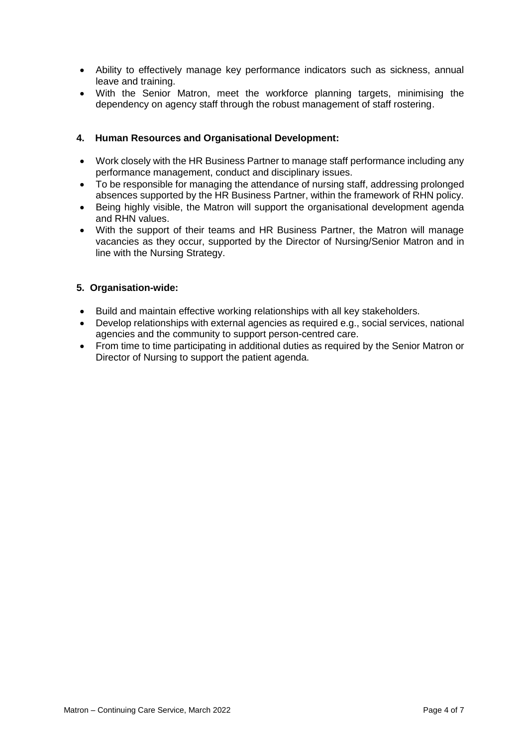- Ability to effectively manage key performance indicators such as sickness, annual leave and training.
- With the Senior Matron, meet the workforce planning targets, minimising the dependency on agency staff through the robust management of staff rostering.

## **4. Human Resources and Organisational Development:**

- Work closely with the HR Business Partner to manage staff performance including any performance management, conduct and disciplinary issues.
- To be responsible for managing the attendance of nursing staff, addressing prolonged absences supported by the HR Business Partner, within the framework of RHN policy.
- Being highly visible, the Matron will support the organisational development agenda and RHN values.
- With the support of their teams and HR Business Partner, the Matron will manage vacancies as they occur, supported by the Director of Nursing/Senior Matron and in line with the Nursing Strategy.

## **5. Organisation-wide:**

- Build and maintain effective working relationships with all key stakeholders.
- Develop relationships with external agencies as required e.g., social services, national agencies and the community to support person-centred care.
- From time to time participating in additional duties as required by the Senior Matron or Director of Nursing to support the patient agenda.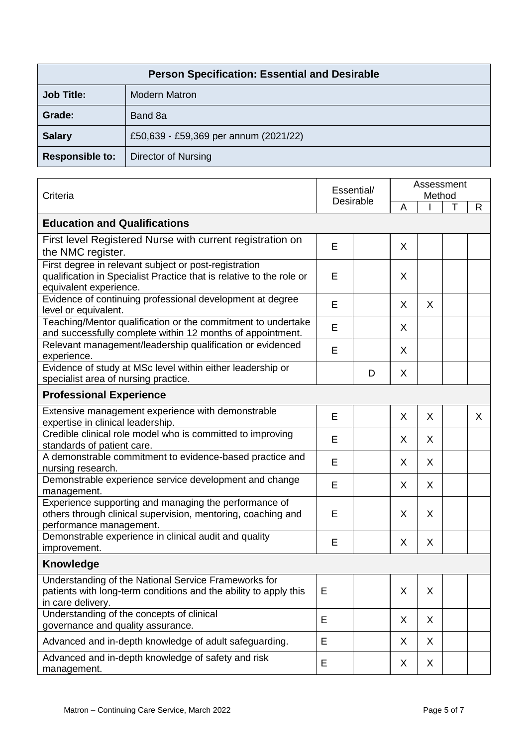| <b>Person Specification: Essential and Desirable</b> |                                       |  |  |  |
|------------------------------------------------------|---------------------------------------|--|--|--|
| <b>Job Title:</b>                                    | <b>Modern Matron</b>                  |  |  |  |
| Grade:                                               | Band 8a                               |  |  |  |
| <b>Salary</b>                                        | £50,639 - £59,369 per annum (2021/22) |  |  |  |
| <b>Responsible to:</b>                               | Director of Nursing                   |  |  |  |

| Criteria                                                                                                                                                |   | Essential/<br><b>Desirable</b> |    | Assessment<br>Method |  |          |  |  |
|---------------------------------------------------------------------------------------------------------------------------------------------------------|---|--------------------------------|----|----------------------|--|----------|--|--|
|                                                                                                                                                         |   |                                |    |                      |  | R.       |  |  |
| <b>Education and Qualifications</b>                                                                                                                     |   |                                |    |                      |  |          |  |  |
| First level Registered Nurse with current registration on                                                                                               | E |                                | X  |                      |  |          |  |  |
| the NMC register.                                                                                                                                       |   |                                |    |                      |  |          |  |  |
| First degree in relevant subject or post-registration<br>qualification in Specialist Practice that is relative to the role or<br>equivalent experience. | E |                                | X  |                      |  |          |  |  |
| Evidence of continuing professional development at degree<br>level or equivalent.                                                                       | E |                                | X  | X                    |  |          |  |  |
| Teaching/Mentor qualification or the commitment to undertake<br>and successfully complete within 12 months of appointment.                              | E |                                | X  |                      |  |          |  |  |
| Relevant management/leadership qualification or evidenced<br>experience.                                                                                | E |                                | X  |                      |  |          |  |  |
| Evidence of study at MSc level within either leadership or<br>specialist area of nursing practice.                                                      |   | D                              | X  |                      |  |          |  |  |
| <b>Professional Experience</b>                                                                                                                          |   |                                |    |                      |  |          |  |  |
| Extensive management experience with demonstrable<br>expertise in clinical leadership.                                                                  | E |                                | X  | $\sf X$              |  | $\times$ |  |  |
| Credible clinical role model who is committed to improving<br>standards of patient care.                                                                | E |                                | X  | X                    |  |          |  |  |
| A demonstrable commitment to evidence-based practice and<br>nursing research.                                                                           | E |                                | X  | $\sf X$              |  |          |  |  |
| Demonstrable experience service development and change<br>management.                                                                                   | E |                                | X. | X                    |  |          |  |  |
| Experience supporting and managing the performance of<br>others through clinical supervision, mentoring, coaching and<br>performance management.        | E |                                | X  | X                    |  |          |  |  |
| Demonstrable experience in clinical audit and quality<br>improvement.                                                                                   | E |                                | X  | X                    |  |          |  |  |
| <b>Knowledge</b>                                                                                                                                        |   |                                |    |                      |  |          |  |  |
| Understanding of the National Service Frameworks for<br>patients with long-term conditions and the ability to apply this<br>in care delivery.           | Е |                                | X  | X                    |  |          |  |  |
| Understanding of the concepts of clinical<br>governance and quality assurance.                                                                          | E |                                | X  | X                    |  |          |  |  |
| Advanced and in-depth knowledge of adult safeguarding.                                                                                                  | E |                                | X  | X                    |  |          |  |  |
| Advanced and in-depth knowledge of safety and risk<br>management.                                                                                       | E |                                | X  | X                    |  |          |  |  |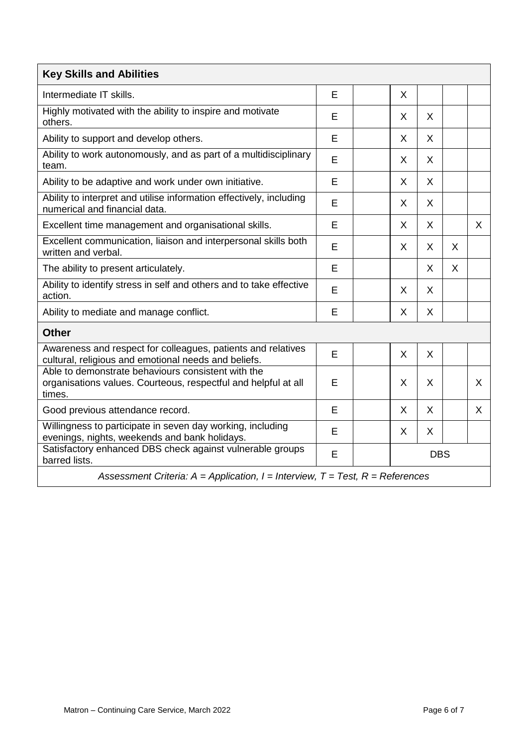| <b>Key Skills and Abilities</b>                                                                                                |   |  |            |              |   |   |  |
|--------------------------------------------------------------------------------------------------------------------------------|---|--|------------|--------------|---|---|--|
| Intermediate IT skills.                                                                                                        | E |  | X          |              |   |   |  |
| Highly motivated with the ability to inspire and motivate<br>others.                                                           | E |  | X          | X            |   |   |  |
| Ability to support and develop others.                                                                                         | E |  | X          | X            |   |   |  |
| Ability to work autonomously, and as part of a multidisciplinary<br>team.                                                      | E |  | X          | X            |   |   |  |
| Ability to be adaptive and work under own initiative.                                                                          | E |  | X          | X            |   |   |  |
| Ability to interpret and utilise information effectively, including<br>numerical and financial data.                           | E |  | X          | X            |   |   |  |
| Excellent time management and organisational skills.                                                                           | E |  | X          | $\mathsf{X}$ |   | X |  |
| Excellent communication, liaison and interpersonal skills both<br>written and verbal.                                          | E |  | X          | X            | X |   |  |
| The ability to present articulately.                                                                                           | E |  |            | X            | X |   |  |
| Ability to identify stress in self and others and to take effective<br>action.                                                 | E |  | X          | X            |   |   |  |
| Ability to mediate and manage conflict.                                                                                        | E |  | X          | $\mathsf{X}$ |   |   |  |
| <b>Other</b>                                                                                                                   |   |  |            |              |   |   |  |
| Awareness and respect for colleagues, patients and relatives<br>cultural, religious and emotional needs and beliefs.           | E |  | X          | X            |   |   |  |
| Able to demonstrate behaviours consistent with the<br>organisations values. Courteous, respectful and helpful at all<br>times. | E |  | X          | X            |   | X |  |
| Good previous attendance record.                                                                                               | E |  | X          | X            |   | X |  |
| Willingness to participate in seven day working, including<br>evenings, nights, weekends and bank holidays.                    | E |  | X          | X            |   |   |  |
| Satisfactory enhanced DBS check against vulnerable groups<br>barred lists.                                                     | E |  | <b>DBS</b> |              |   |   |  |
| Assessment Criteria: $A =$ Application, $I =$ Interview, $T =$ Test, $R =$ References                                          |   |  |            |              |   |   |  |